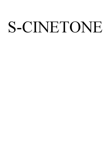# S-CINETONE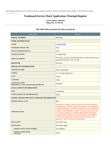Under the Paperwork Reduction Act of 1995 no persons are required to respond to a collection of information unless it displays a valid OMB control number.<br>PTO Form 1478 (Rev 09/2006) PTO Fo OMB No. 0651-0009 (Exp 02/28/2021)

# **Trademark/Service Mark Application, Principal Register**

**Serial Number: 88545834 Filing Date: 07/29/2019**

# **The table below presents the data as entered.**

| <b>Input Field</b>                                                          | Entered                                                                                                                                                                                                                                                                                                                                                                                                                                                                                 |  |
|-----------------------------------------------------------------------------|-----------------------------------------------------------------------------------------------------------------------------------------------------------------------------------------------------------------------------------------------------------------------------------------------------------------------------------------------------------------------------------------------------------------------------------------------------------------------------------------|--|
| <b>SERIAL NUMBER</b>                                                        | 88545834                                                                                                                                                                                                                                                                                                                                                                                                                                                                                |  |
| <b>MARK INFORMATION</b>                                                     |                                                                                                                                                                                                                                                                                                                                                                                                                                                                                         |  |
| *MARK                                                                       | <b>S-CINETONE</b>                                                                                                                                                                                                                                                                                                                                                                                                                                                                       |  |
| <b>STANDARD CHARACTERS</b>                                                  | <b>YES</b>                                                                                                                                                                                                                                                                                                                                                                                                                                                                              |  |
| <b>USPTO-GENERATED IMAGE</b>                                                | <b>YES</b>                                                                                                                                                                                                                                                                                                                                                                                                                                                                              |  |
| <b>LITERAL ELEMENT</b>                                                      | <b>S-CINETONE</b>                                                                                                                                                                                                                                                                                                                                                                                                                                                                       |  |
| <b>MARK STATEMENT</b>                                                       | The mark consists of standard characters, without claim to any<br>particular font style, size, or color.                                                                                                                                                                                                                                                                                                                                                                                |  |
| <b>REGISTER</b>                                                             | Principal                                                                                                                                                                                                                                                                                                                                                                                                                                                                               |  |
| <b>APPLICANT INFORMATION</b>                                                |                                                                                                                                                                                                                                                                                                                                                                                                                                                                                         |  |
| *OWNER OF MARK                                                              | Sony Corporation                                                                                                                                                                                                                                                                                                                                                                                                                                                                        |  |
| *STREET                                                                     | 1-7-1 Konan, Minato-ku                                                                                                                                                                                                                                                                                                                                                                                                                                                                  |  |
| *CITY                                                                       | Tokyo                                                                                                                                                                                                                                                                                                                                                                                                                                                                                   |  |
| *COUNTRY                                                                    | Japan                                                                                                                                                                                                                                                                                                                                                                                                                                                                                   |  |
| *ZIP/POSTAL CODE<br>(Required for U.S. and certain international addresses) | 108-0075                                                                                                                                                                                                                                                                                                                                                                                                                                                                                |  |
| <b>LEGAL ENTITY INFORMATION</b>                                             |                                                                                                                                                                                                                                                                                                                                                                                                                                                                                         |  |
| <b>TYPE</b>                                                                 | corporation                                                                                                                                                                                                                                                                                                                                                                                                                                                                             |  |
| STATE/COUNTRY OF INCORPORATION                                              | Japan                                                                                                                                                                                                                                                                                                                                                                                                                                                                                   |  |
| <b>GOODS AND/OR SERVICES AND BASIS INFORMATION</b>                          |                                                                                                                                                                                                                                                                                                                                                                                                                                                                                         |  |
| <b>INTERNATIONAL CLASS</b>                                                  | 009                                                                                                                                                                                                                                                                                                                                                                                                                                                                                     |  |
| *IDENTIFICATION                                                             | Smartphones; digital cameras; telecommunication machines<br>and apparatus; computer application program for smartphones;<br>computer programs; computer programs for processing digital<br>images and photographic images; computer programs for use<br>in viewing, storing and arranging digital photos and digital<br>images; tablet computers; personal computers; photographic<br>machines and apparatus; cinematographic machines and<br>apparatus; optical machines and apparatus |  |
| <b>FILING BASIS</b>                                                         | <b>SECTION 1(b)</b>                                                                                                                                                                                                                                                                                                                                                                                                                                                                     |  |
| <b>FILING BASIS</b>                                                         | SECTION 44(d)                                                                                                                                                                                                                                                                                                                                                                                                                                                                           |  |
| <b>FOREIGN APPLICATION NUMBER</b>                                           | 2019-090367                                                                                                                                                                                                                                                                                                                                                                                                                                                                             |  |
| <b>FOREIGN APPLICATION</b><br><b>COUNTRY</b>                                | Japan                                                                                                                                                                                                                                                                                                                                                                                                                                                                                   |  |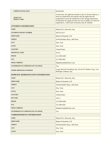| <b>FOREIGN FILING DATE</b>                 | 06/28/2019                                                                                                                                                                                                                                                                                                                             |
|--------------------------------------------|----------------------------------------------------------------------------------------------------------------------------------------------------------------------------------------------------------------------------------------------------------------------------------------------------------------------------------------|
| <b>INTENT TO</b><br>PERFECT 44(d)          | At this time, the applicant intends to rely on Section 44(e) as a<br>basis for registration and requests that the application be<br>suspended to await the submission of the foreign registration.<br>If ultimately the applicant does not rely on $§44(e)$ as a basis for<br>registration, a valid claim of priority may be retained. |
| <b>ATTORNEY INFORMATION</b>                |                                                                                                                                                                                                                                                                                                                                        |
| <b>NAME</b>                                | Robert B.G. Horowitz, Esq.                                                                                                                                                                                                                                                                                                             |
| <b>ATTORNEY DOCKET NUMBER</b>              | 041279.3217                                                                                                                                                                                                                                                                                                                            |
| <b>FIRM NAME</b>                           | Baker & Hostetler LLP                                                                                                                                                                                                                                                                                                                  |
| <b>STREET</b>                              | 45 Rockefeller Plaza, 14th Floor                                                                                                                                                                                                                                                                                                       |
| <b>CITY</b>                                | New York                                                                                                                                                                                                                                                                                                                               |
| <b>STATE</b>                               | New York                                                                                                                                                                                                                                                                                                                               |
| <b>COUNTRY</b>                             | <b>United States</b>                                                                                                                                                                                                                                                                                                                   |
| <b>ZIP/POSTAL CODE</b>                     | 10111                                                                                                                                                                                                                                                                                                                                  |
| <b>PHONE</b>                               | 212-589-4200                                                                                                                                                                                                                                                                                                                           |
| <b>FAX</b>                                 | 212 589-4201                                                                                                                                                                                                                                                                                                                           |
| <b>EMAIL ADDRESS</b>                       | bhipdocket@bakerlaw.com                                                                                                                                                                                                                                                                                                                |
| <b>AUTHORIZED TO COMMUNICATE VIA EMAIL</b> | Yes                                                                                                                                                                                                                                                                                                                                    |
| <b>OTHER APPOINTED ATTORNEY</b>            | Lesley McCall Grossberg, Esq., Kevin M. Wallace, Esq., Lisa<br>Bollinger Gehman, Esq.                                                                                                                                                                                                                                                  |
| DOMESTIC REPRESENTATIVE INFORMATION        |                                                                                                                                                                                                                                                                                                                                        |
| <b>NAME</b>                                | Robert B.G. Horowitz, Esq.                                                                                                                                                                                                                                                                                                             |
| <b>FIRM NAME</b>                           | Baker & Hostetler LLP                                                                                                                                                                                                                                                                                                                  |
| <b>STREET</b>                              | 45 Rockefeller Plaza, 14th Floor                                                                                                                                                                                                                                                                                                       |
| <b>CITY</b>                                | New York                                                                                                                                                                                                                                                                                                                               |
| <b>STATE</b>                               | New York                                                                                                                                                                                                                                                                                                                               |
| <b>COUNTRY</b>                             | <b>United States</b>                                                                                                                                                                                                                                                                                                                   |
| <b>ZIP CODE</b>                            | 10111                                                                                                                                                                                                                                                                                                                                  |
| <b>PHONE</b>                               | 212-589-4200                                                                                                                                                                                                                                                                                                                           |
| <b>FAX</b>                                 | 212 589-4201                                                                                                                                                                                                                                                                                                                           |
| <b>EMAIL ADDRESS</b>                       | bhipdocket@bakerlaw.com                                                                                                                                                                                                                                                                                                                |
| <b>AUTHORIZED TO COMMUNICATE VIA EMAIL</b> | Yes                                                                                                                                                                                                                                                                                                                                    |
| <b>CORRESPONDENCE INFORMATION</b>          |                                                                                                                                                                                                                                                                                                                                        |
| <b>NAME</b>                                | Robert B.G. Horowitz, Esq.                                                                                                                                                                                                                                                                                                             |
| <b>FIRM NAME</b>                           | Baker & Hostetler LLP                                                                                                                                                                                                                                                                                                                  |
| <b>STREET</b>                              | 45 Rockefeller Plaza, 14th Floor                                                                                                                                                                                                                                                                                                       |
| <b>CITY</b>                                | New York                                                                                                                                                                                                                                                                                                                               |
| <b>STATE</b>                               | New York                                                                                                                                                                                                                                                                                                                               |
|                                            |                                                                                                                                                                                                                                                                                                                                        |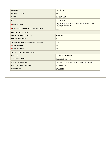| <b>COUNTRY</b>                                | <b>United States</b>                                                     |  |
|-----------------------------------------------|--------------------------------------------------------------------------|--|
| <b>ZIP/POSTAL CODE</b>                        | 10111                                                                    |  |
| <b>PHONE</b>                                  | 212-589-4200                                                             |  |
| <b>FAX</b>                                    | 212 589-4201                                                             |  |
| *EMAIL ADDRESS                                | bhipdocket@bakerlaw.com; rhorowitz@bakerlaw.com;<br>jcupito@bakerlaw.com |  |
| *AUTHORIZED TO COMMUNICATE VIA EMAIL          | Yes                                                                      |  |
| <b>FEE INFORMATION</b>                        |                                                                          |  |
| <b>APPLICATION FILING OPTION</b>              | <b>TEAS RF</b>                                                           |  |
| <b>NUMBER OF CLASSES</b>                      | 1                                                                        |  |
| <b>APPLICATION FOR REGISTRATION PER CLASS</b> | 275                                                                      |  |
| *TOTAL FEE DUE                                | 275                                                                      |  |
| *TOTAL FEE PAID                               | 275                                                                      |  |
| <b>SIGNATURE INFORMATION</b>                  |                                                                          |  |
| <b>SIGNATURE</b>                              | /Robert B.G. Horowitz/                                                   |  |
| <b>SIGNATORY'S NAME</b>                       | Robert B.G. Horowitz                                                     |  |
| <b>SIGNATORY'S POSITION</b>                   | Attorney for Applicant, a New York State bar member                      |  |
| <b>SIGNATORY'S PHONE NUMBER</b>               | 212-589-4200                                                             |  |
| <b>DATE SIGNED</b>                            | 07/29/2019                                                               |  |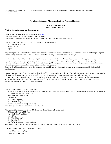Under the Paperwork Reduction Act of 1995 no persons are required to respond to a collection of information unless it displays a valid OMB control number. PTO Form 1478 (Rev 09/2006) OMB No. 0651-0009 (Exp 02/28/2021)

# **Trademark/Service Mark Application, Principal Register**

**Serial Number: 88545834 Filing Date: 07/29/2019**

## **To the Commissioner for Trademarks:**

**MARK:** S-CINETONE (Standard Characters, see [mark](../RFA0002.JPG))

The literal element of the mark consists of S-CINETONE.

The mark consists of standard characters, without claim to any particular font style, size, or color.

The applicant, Sony Corporation, a corporation of Japan, having an address of

 1-7-1 Konan, Minato-ku Tokyo 108-0075 Japan

requests registration of the trademark/service mark identified above in the United States Patent and Trademark Office on the Principal Register established by the Act of July 5, 1946 (15 U.S.C. Section 1051 et seq.), as amended, for the following:

 International Class 009: Smartphones; digital cameras; telecommunication machines and apparatus; computer application program for smartphones; computer programs; computer programs for processing digital images and photographic images; computer programs for use in viewing, storing and arranging digital photos and digital images; tablet computers; personal computers; photographic machines and apparatus; cinematographic machines and apparatus; optical machines and apparatus

Intent to Use: The applicant has a bona fide intention, and is entitled, to use the mark in commerce on or in connection with the identified goods/services.

Priority based on foreign filing: The applicant has a bona fide intention, and is entitled, to use the mark in commerce on or in connection with the identified goods/services and asserts a claim of priority based on Japan application number 2019-090367, filed 06/28/2019. INTENT TO PERFECT 44(d) : At this time, the applicant intends to rely on Section 44(e) as a basis for registration and requests that the application be suspended to await the submission of the foreign registration. If ultimately the applicant does not rely on §44(e) as a basis for registration, a valid claim of priority may be retained.

The applicant's current Attorney Information:

 Robert B.G. Horowitz, Esq. and Lesley McCall Grossberg, Esq., Kevin M. Wallace, Esq., Lisa Bollinger Gehman, Esq. of Baker & Hostetler LLP 45 Rockefeller Plaza, 14th Floor

 New York, New York 10111 United States 212-589-4200(phone) 212 589-4201(fax) bhipdocket@bakerlaw.com (authorized) The attorney docket/reference number is 041279.3217.

The applicant hereby appoints Robert B.G. Horowitz, Esq. of Baker & Hostetler LLP 45 Rockefeller Plaza, 14th Floor New York New York 10111 United States 212-589-4200(phone) 212 589-4201(fax) bhipdocket@bakerlaw.com (authorized) as applicant's representative upon whom notice or process in the proceedings affecting the mark may be served.

The applicant's current Correspondence Information: Robert B.G. Horowitz, Esq. Baker & Hostetler LLP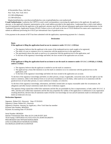45 Rockefeller Plaza, 14th Floor New York, New York 10111 212-589-4200(phone) 212 589-4201(fax)

bhipdocket@bakerlaw.com;rhorowitz@bakerlaw.com; jcupito@bakerlaw.com (authorized)

**E-mail Authorization:** I authorize the USPTO to send e-mail correspondence concerning the application to the applicant, the applicant's attorney, or the applicant's domestic representative at the e-mail address provided in this application. I understand that a valid e-mail address must be maintained and that the applicant or the applicant's attorney must file the relevant subsequent application-related submissions via the Trademark Electronic Application System (TEAS). Failure to do so will result in the loss of TEAS Reduced Fee status and a requirement to submit an additional processing fee of \$125 per international class of goods/services.

A fee payment in the amount of \$275 has been submitted with the application, representing payment for 1 class(es).

### **Declaration**

### **Basis:**

### **If the applicant is filing the application based on use in commerce under 15 U.S.C. § 1051(a):**

- The signatory believes that the applicant is the owner of the trademark/service mark sought to be registered;
- The mark is in use in commerce on or in connection with the goods/services in the application;
- The specimen(s) shows the mark as used on or in connection with the goods/services in the application; and
- To the best of the signatory's knowledge and belief, the facts recited in the application are accurate.

### **And/Or**

### **If the applicant is filing the application based on an intent to use the mark in commerce under 15 U.S.C. § 1051(b), § 1126(d), and/or § 1126(e):**

- The signatory believes that the applicant is entitled to use the mark in commerce;
- The applicant has a bona fide intention to use the mark in commerce on or in connection with the goods/services in the application; and
- To the best of the signatory's knowledge and belief, the facts recited in the application are accurate.

To the best of the signatory's knowledge and belief, no other persons, except, if applicable, concurrent users, have the right to use the mark in commerce, either in the identical form or in such near resemblance as to be likely, when used on or in connection with the goods/services of such other persons, to cause confusion or mistake, or to deceive.

To the best of the signatory's knowledge, information, and belief, formed after an inquiry reasonable under the circumstances, the allegations and other factual contentions made above have evidentiary support.

The signatory being warned that willful false statements and the like are punishable by fine or imprisonment, or both, under 18 U.S.C. § 1001, and that such willful false statements and the like may jeopardize the validity of the application or submission or any registration resulting therefrom, declares that all statements made of his/her own knowledge are true and all statements made on information and belief are believed to be true.

## **Declaration Signature**

Signature: /Robert B.G. Horowitz/ Date: 07/29/2019 Signatory's Name: Robert B.G. Horowitz Signatory's Position: Attorney for Applicant, a New York State bar member Payment Sale Number: 88545834 Payment Accounting Date: 07/29/2019

Serial Number: 88545834 Internet Transmission Date: Mon Jul 29 12:00:29 EDT 2019 TEAS Stamp: USPTO/BAS-XX.XXX.XXX.XX-2019072912002974 8956-88545834-620c79970c847e82f63ecf8d3b ee56c31e32386ce83cf27ed538520c162c83b9a-DA-00295224-20190729115159597639